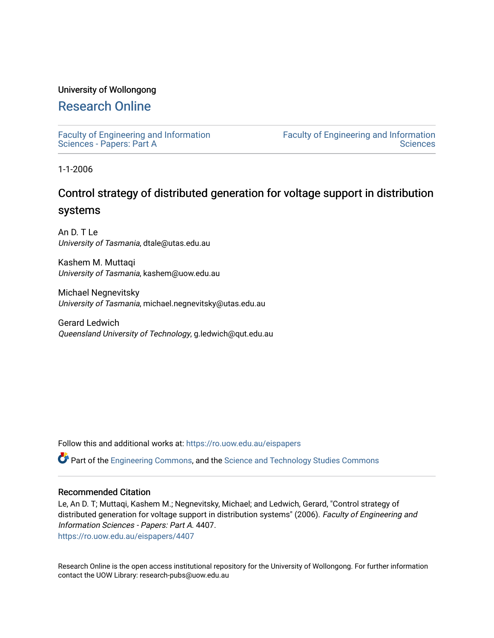## University of Wollongong

# [Research Online](https://ro.uow.edu.au/)

[Faculty of Engineering and Information](https://ro.uow.edu.au/eispapers)  [Sciences - Papers: Part A](https://ro.uow.edu.au/eispapers) 

[Faculty of Engineering and Information](https://ro.uow.edu.au/eis)  **Sciences** 

1-1-2006

# Control strategy of distributed generation for voltage support in distribution systems

An D. T Le University of Tasmania, dtale@utas.edu.au

Kashem M. Muttaqi University of Tasmania, kashem@uow.edu.au

Michael Negnevitsky University of Tasmania, michael.negnevitsky@utas.edu.au

Gerard Ledwich Queensland University of Technology, g.ledwich@qut.edu.au

Follow this and additional works at: [https://ro.uow.edu.au/eispapers](https://ro.uow.edu.au/eispapers?utm_source=ro.uow.edu.au%2Feispapers%2F4407&utm_medium=PDF&utm_campaign=PDFCoverPages)

Part of the [Engineering Commons](http://network.bepress.com/hgg/discipline/217?utm_source=ro.uow.edu.au%2Feispapers%2F4407&utm_medium=PDF&utm_campaign=PDFCoverPages), and the [Science and Technology Studies Commons](http://network.bepress.com/hgg/discipline/435?utm_source=ro.uow.edu.au%2Feispapers%2F4407&utm_medium=PDF&utm_campaign=PDFCoverPages)

### Recommended Citation

Le, An D. T; Muttaqi, Kashem M.; Negnevitsky, Michael; and Ledwich, Gerard, "Control strategy of distributed generation for voltage support in distribution systems" (2006). Faculty of Engineering and Information Sciences - Papers: Part A. 4407.

[https://ro.uow.edu.au/eispapers/4407](https://ro.uow.edu.au/eispapers/4407?utm_source=ro.uow.edu.au%2Feispapers%2F4407&utm_medium=PDF&utm_campaign=PDFCoverPages) 

Research Online is the open access institutional repository for the University of Wollongong. For further information contact the UOW Library: research-pubs@uow.edu.au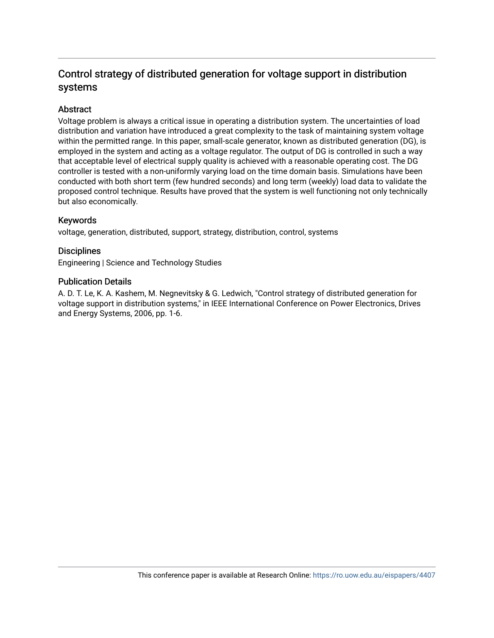# Control strategy of distributed generation for voltage support in distribution systems

# **Abstract**

Voltage problem is always a critical issue in operating a distribution system. The uncertainties of load distribution and variation have introduced a great complexity to the task of maintaining system voltage within the permitted range. In this paper, small-scale generator, known as distributed generation (DG), is employed in the system and acting as a voltage regulator. The output of DG is controlled in such a way that acceptable level of electrical supply quality is achieved with a reasonable operating cost. The DG controller is tested with a non-uniformly varying load on the time domain basis. Simulations have been conducted with both short term (few hundred seconds) and long term (weekly) load data to validate the proposed control technique. Results have proved that the system is well functioning not only technically but also economically.

# Keywords

voltage, generation, distributed, support, strategy, distribution, control, systems

## **Disciplines**

Engineering | Science and Technology Studies

## Publication Details

A. D. T. Le, K. A. Kashem, M. Negnevitsky & G. Ledwich, "Control strategy of distributed generation for voltage support in distribution systems," in IEEE International Conference on Power Electronics, Drives and Energy Systems, 2006, pp. 1-6.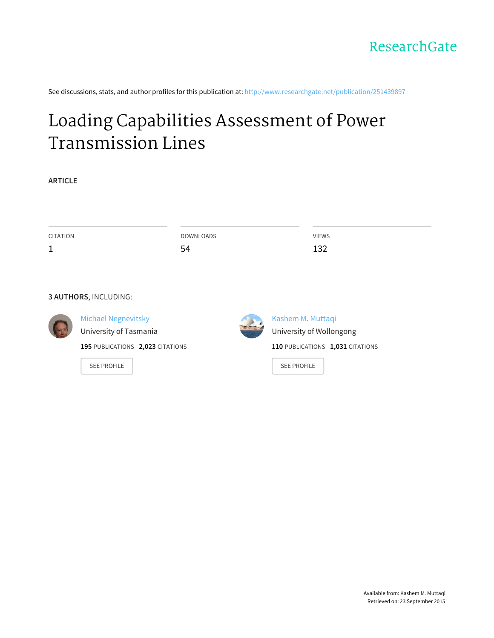See discussions, stats, and author profiles for this publication at: http://www.researchgate.net/publication/251439897

# Loading Capabilities Assessment of Power Transmission Lines

**ARTICLE**

| CITATION | DOWNLOADS | <b>VIEWS</b> |
|----------|-----------|--------------|
| ᅩ        | 54        | 132          |
|          |           |              |
|          |           |              |
|          |           |              |

## **3 AUTHORS**, INCLUDING:



Michael Negnevitsky

University of Tasmania

**195** PUBLICATIONS **2,023** CITATIONS

SEE PROFILE



Kashem M. Muttaqi University of Wollongong **110** PUBLICATIONS **1,031** CITATIONS

SEE PROFILE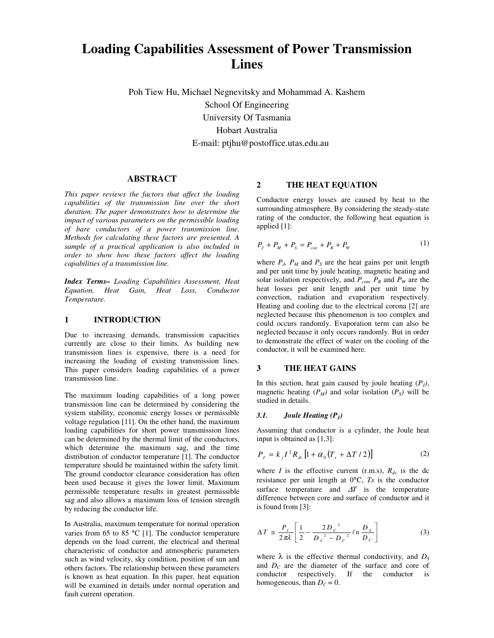# **Loading Capabilities Assessment of Power Transmission Lines**

Poh Tiew Hu, Michael Negnevitsky and Mohammad A. Kashem School Of Engineering University Of Tasmania Hobart Australia E-mail: ptjhu@postoffice.utas.edu.au

#### **ABSTRACT**

*This paper reviews the factors that affect the loading capabilities of the transmission line over the short duration. The paper demonstrates how to determine the impact of various parameters on the permissible loading of bare conductors of a power transmission line. Methods for calculating these factors are presented. A sample of a practical application is also included in order to show how these factors affect the loading capabilities of a transmission line.* 

*Index Terms– Loading Capabilities Assessment, Heat Equation, Heat Gain, Heat Loss, Conductor Temperature.*

#### **1 INTRODUCTION**

Due to increasing demands, transmission capacities currently are close to their limits. As building new transmission lines is expensive, there is a need for increasing the loading of existing transmission lines. This paper considers loading capabilities of a power transmission line.

The maximum loading capabilities of a long power transmission line can be determined by considering the system stability, economic energy losses or permissible voltage regulation [11]. On the other hand, the maximum loading capabilities for short power transmission lines can be determined by the thermal limit of the conductors, which determine the maximum sag, and the time distribution of conductor temperature [1]. The conductor temperature should be maintained within the safety limit. The ground conductor clearance consideration has often been used because it gives the lower limit. Maximum permissible temperature results in greatest permissible sag and also allows a maximum loss of tension strength by reducing the conductor life.

In Australia, maximum temperature for normal operation varies from 65 to 85 °C [1]. The conductor temperature depends on the load current, the electrical and thermal characteristic of conductor and atmospheric parameters such as wind velocity, sky condition, position of sun and others factors. The relationship between these parameters is known as heat equation. In this paper, heat equation will be examined in details under normal operation and fault current operation.

#### **2 THE HEAT EQUATION**

Conductor energy losses are caused by heat to the surrounding atmosphere. By considering the steady-state rating of the conductor, the following heat equation is applied [1]:

$$
P_J + P_M + P_S = P_{con} + P_R + P_W \tag{1}
$$

where  $P_J$ ,  $P_M$  and  $P_S$  are the heat gains per unit length and per unit time by joule heating, magnetic heating and solar isolation respectively, and  $P_{\text{cop}}$ ,  $P_R$  and  $P_W$  are the heat losses per unit length and per unit time by convection, radiation and evaporation respectively. Heating and cooling due to the electrical corona [2] are neglected because this phenomenon is too complex and could occurs randomly. Evaporation term can also be neglected because it only occurs randomly. But in order to demonstrate the effect of water on the cooling of the conductor, it will be examined here.

#### **3 THE HEAT GAINS**

In this section, heat gain caused by joule heating  $(P_J)$ , magnetic heating  $(P_M)$  and solar isolation  $(P_S)$  will be studied in details.

#### *3.1. Joule Heating (PJ)*

Assuming that conductor is a cylinder, the Joule heat input is obtained as [1,3]:

$$
P_J = k_J I^2 R_{dc} \left[ 1 + \alpha_0 \left( T_s + \Delta T / 2 \right) \right] \tag{2}
$$

where *I* is the effective current (r.m.s),  $R_{dc}$  is the dc resistance per unit length at 0°C, *Ts* is the conductor surface temperature and ∆*T* is the temperature difference between core and surface of conductor and it is found from [3]:

$$
\Delta T \approx \frac{P_J}{2\pi\lambda} \left[ \frac{1}{2} - \frac{2D_c^2}{D_s^2 - D_c^2} \ln \frac{D_s}{D_c} \right]
$$
 (3)

where  $\lambda$  is the effective thermal conductivity, and  $D_S$ and  $D<sub>C</sub>$  are the diameter of the surface and core of conductor respectively. If the conductor is homogeneous, than  $D_C = 0$ .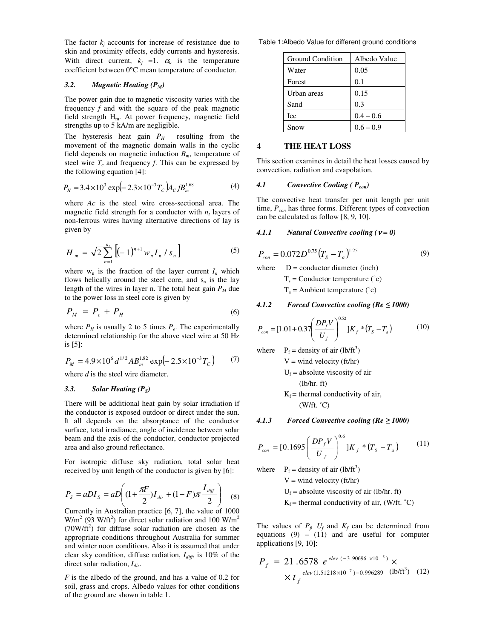The factor  $k_j$  accounts for increase of resistance due to skin and proximity effects, eddy currents and hysteresis. With direct current,  $k_j = 1$ .  $\alpha_0$  is the temperature coefficient between 0°C mean temperature of conductor.

#### *3.2. Magnetic Heating (PM)*

The power gain due to magnetic viscosity varies with the frequency *f* and with the square of the peak magnetic field strength Hm. At power frequency, magnetic field strengths up to 5 kA/m are negligible.

The hysteresis heat gain  $P_H$  resulting from the movement of the magnetic domain walls in the cyclic field depends on magnetic induction  $B_m$ , temperature of steel wire  $T_c$  and frequency  $f$ . This can be expressed by the following equation [4]:

$$
P_H = 3.4 \times 10^3 \exp(-2.3 \times 10^{-3} T_c) A_C f B_m^{1.68}
$$
 (4)

where *Ac* is the steel wire cross-sectional area. The magnetic field strength for a conductor with  $n_t$  layers of non-ferrous wires having alternative directions of lay is given by

$$
H_m = \sqrt{2} \sum_{n=1}^{n_t} \left[ (-1)^{n+1} w_n I_n / s_n \right]
$$
 (5)

where  $w_n$  is the fraction of the layer current  $I_n$  which flows helically around the steel core, and  $s_n$  is the lay length of the wires in layer n. The total heat gain  $P<sub>M</sub>$  due to the power loss in steel core is given by

$$
P_M = P_e + P_H \tag{6}
$$

where  $P_H$  is usually 2 to 5 times  $P_e$ . The experimentally determined relationship for the above steel wire at 50 Hz is [5]:

$$
P_M = 4.9 \times 10^6 \, d^{1/2} A B_m^{1.82} \exp(-2.5 \times 10^{-3} T_C) \tag{7}
$$

where *d* is the steel wire diameter.

#### *3.3. Solar Heating (PS)*

There will be additional heat gain by solar irradiation if the conductor is exposed outdoor or direct under the sun. It all depends on the absorptance of the conductor surface, total irradiance, angle of incidence between solar beam and the axis of the conductor, conductor projected area and also ground reflectance.

For isotropic diffuse sky radiation, total solar heat received by unit length of the conductor is given by [6]:

$$
P_{s} = aDI_{s} = aD \left( (1 + \frac{\pi F}{2})I_{\text{dir}} + (1 + F)\pi \frac{I_{\text{diff}}}{2} \right) \quad (8)
$$

Currently in Australian practice [6, 7], the value of 1000  $W/m^2$  (93 W/ft<sup>2</sup>) for direct solar radiation and 100 W/m<sup>2</sup>  $(70W/\text{ft}^2)$  for diffuse solar radiation are chosen as the appropriate conditions throughout Australia for summer and winter noon conditions. Also it is assumed that under clear sky condition, diffuse radiation, *Idiff*, is 10% of the direct solar radiation, *Idir*.

*F* is the albedo of the ground, and has a value of 0.2 for soil, grass and crops. Albedo values for other conditions of the ground are shown in table 1.

Table 1:Albedo Value for different ground conditions

| Ground Condition | Albedo Value |  |  |
|------------------|--------------|--|--|
| Water            | 0.05         |  |  |
| Forest           | 0.1          |  |  |
| Urban areas      | 0.15         |  |  |
| Sand             | 0.3          |  |  |
| Ice              | $0.4 - 0.6$  |  |  |
| Snow             | $0.6 - 0.9$  |  |  |

#### **4 THE HEAT LOSS**

This section examines in detail the heat losses caused by convection, radiation and evapolation.

#### *4.1 Convective Cooling ( Pcon)*

The convective heat transfer per unit length per unit time, *Pcon* has three forms. Different types of convection can be calculated as follow [8, 9, 10].

#### *4.1.1 Natural Convective cooling (* $ν = θ$ *)*

$$
P_{con} = 0.072D^{0.75}(T_s - T_a)^{1.25}
$$
 (9)

where  $D =$  conductor diameter (inch)  $T_s$  = Conductor temperature ( $\degree$ c)  $T_a$  = Ambient temperature ( $\degree$ c)

#### *4.1.2 Forced Convective cooling (Re* ≤ *1000)*

$$
P_{con} = [1.01 + 0.37 \left(\frac{DP_f V}{U_f}\right)^{0.52}] K_f * (T_s - T_a)
$$
 (10)

where  $=$  density of air (lb/ft<sup>3</sup>)

 $V =$  wind velocity (ft/hr)  $U_f$  = absolute viscosity of air (lb/hr. ft)  $K_f$  = thermal conductivity of air,  $(W/ft. °C)$ 

*4.1.3 Forced Convective cooling (Re* ≥ *1000)* 

$$
P_{con} = [0.1695 \left( \frac{DP_f V}{U_f} \right)^{0.6}] K_f * (T_s - T_a)
$$
 (11)

where  $=$  density of air (lb/ft<sup>3</sup>)

 $V =$  wind velocity (ft/hr)  $U_f$  = absolute viscosity of air (lb/hr. ft)

 $K_f$  = thermal conductivity of air, (W/ft.  $^{\circ}$ C)

The values of  $P_f$ ,  $U_f$  and  $K_f$  can be determined from equations  $(9) - (11)$  and are useful for computer applications [9, 10]:

$$
P_f = 21.6578 e^{elev (-3.90696 \times 10^{-5})} \times
$$
  
 
$$
\times t_f^{elev (1.51218 \times 10^{-7}) - 0.996289} \text{ (lb/ft}^3) (12)
$$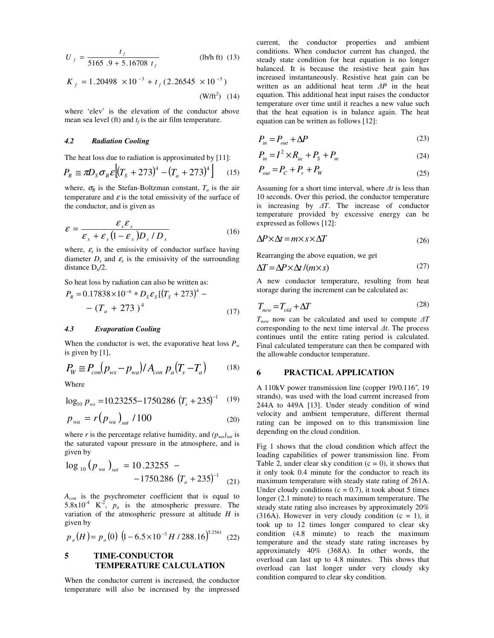$$
U_f = \frac{t_f}{5165.9 + 5.16708 t_f}
$$
 (lb/h ft) (13)

$$
K_f = 1.20498 \times 10^{-3} + t_f (2.26545 \times 10^{-5})
$$
  
(W/ft<sup>2</sup>) (14)

where 'elev' is the elevation of the conductor above mean sea level (ft) and  $t_f$  is the air film temperature.

#### *4.2 Radiation Cooling*

The heat loss due to radiation is approximated by [11]:

$$
P_R \cong \pi D_S \sigma_B \mathcal{E} \left[ (T_S + 273)^4 - (T_a + 273)^4 \right] \tag{15}
$$

where,  $\sigma_B$  is the Stefan-Boltzman constant,  $T_a$  is the air temperature and  $\varepsilon$  is the total emissivity of the surface of the conductor, and is given as

$$
\mathcal{E} = \frac{\mathcal{E}_s \mathcal{E}_x}{\mathcal{E}_x + \mathcal{E}_s (1 - \mathcal{E}_x) D_s / D_x}
$$
(16)

where,  $\varepsilon$ <sub>s</sub> is the emissivity of conductor surface having diameter  $D_s$  and  $\varepsilon_x$  is the emissivity of the surrounding distance  $D_x/2$ .

So heat loss by radiation can also be written as:

$$
P_R = 0.17838 \times 10^{-6} * D_s \varepsilon_s [(T_s + 273)^4 - (T_a + 273)^4]
$$
\n(17)

#### *4.3 Evaporation Cooling*

When the conductor is wet, the evaporative heat loss  $P_w$ is given by [1],

$$
P_W \cong P_{con}(p_{ws} - p_{wa})/A_{con} p_a(T_s - T_a)
$$
 (18)

Where

$$
\log_{10} p_{\rm ws} = 10.23255 - 1750286 \left( T_s + 235 \right)^{-1} \quad (19)
$$

$$
p_{wa} = r (p_{wa})_{sat} / 100 \tag{20}
$$

where *r* is the percentage relative humidity, and  $(p_{wa})_{sat}$  is the saturated vapour pressure in the atmosphere, and is given by

$$
\log_{10} (p_{wa})_{sat} = 10.23255 - 1750.286 (T_a + 235)^{-1}
$$
 (21)

*Acon* is the psychrometer coefficient that is equal to 5.8x10<sup>-4</sup>  $K^2$ ,  $p_a$  is the atmospheric pressure. The variation of the atmospheric pressure at altitude *H* is given by

$$
p_a(H) = p_a(0) \left(1 - 6.5 \times 10^{-3} H / 288.16\right)^{5.2561} (22)
$$

#### **5 TIME-CONDUCTOR TEMPERATURE CALCULATION**

When the conductor current is increased, the conductor temperature will also be increased by the impressed

current, the conductor properties and ambient conditions. When conductor current has changed, the steady state condition for heat equation is no longer balanced. It is because the resistive heat gain has increased instantaneously. Resistive heat gain can be written as an additional heat term ∆*P* in the heat equation. This additional heat input raises the conductor temperature over time until it reaches a new value such that the heat equation is in balance again. The heat equation can be written as follows [12]:

$$
P_{in} = P_{out} + \Delta P \tag{23}
$$

$$
P_{in} = I^2 \times R_{ac} + P_s + P_m \tag{24}
$$

$$
P_{out} = P_C + P_r + P_W \tag{25}
$$

Assuming for a short time interval, where ∆*t* is less than 10 seconds. Over this period, the conductor temperature is increasing by ∆*T*. The increase of conductor temperature provided by excessive energy can be expressed as follows [12]:

$$
\Delta P \times \Delta t = m \times s \times \Delta T \tag{26}
$$

Rearranging the above equation, we get

$$
\Delta T = \Delta P \times \Delta t / (m \times s) \tag{27}
$$

A new conductor temperature, resulting from heat storage during the increment can be calculated as:

$$
T_{new} = T_{old} + \Delta T \tag{28}
$$

*Tnew* now can be calculated and used to compute ∆*T* corresponding to the next time interval ∆*t*. The process continues until the entire rating period is calculated. Final calculated temperature can then be compared with the allowable conductor temperature.

#### **6 PRACTICAL APPLICATION**

A 110kV power transmission line (copper 19/0.116˝, 19 strands), was used with the load current increased from 244A to 449A [13]. Under steady condition of wind velocity and ambient temperature, different thermal rating can be imposed on to this transmission line depending on the cloud condition.

Fig 1 shows that the cloud condition which affect the loading capabilities of power transmission line. From Table 2, under clear sky condition  $(c = 0)$ , it shows that it only took 0.4 minute for the conductor to reach its maximum temperature with steady state rating of 261A. Under cloudy conditions ( $c = 0.7$ ), it took about 5 times longer (2.1 minute) to reach maximum temperature. The steady state rating also increases by approximately 20%  $(316A)$ . However in very cloudy condition  $(c = 1)$ , it took up to 12 times longer compared to clear sky condition (4.8 minute) to reach the maximum temperature and the steady state rating increases by approximately 40% (368A). In other words, the overload can last up to 4.8 minutes. This shows that overload can last longer under very cloudy sky condition compared to clear sky condition.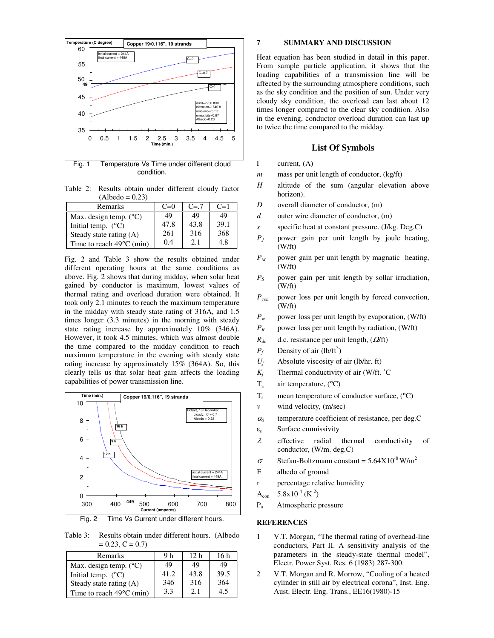

condition.

Table 2: Results obtain under different cloudy factor  $(Albedo = 0.23)$ 

| Remarks                            | $C=0$ | $C=7$ | $C=1$ |
|------------------------------------|-------|-------|-------|
| Max. design temp. $(^{\circ}C)$    | 49    | 49    | 49    |
| Initial temp. $(^{\circ}C)$        | 47.8  | 43.8  | 39.1  |
| Steady state rating (A)            | 261   | 316   | 368   |
| Time to reach $49^{\circ}$ C (min) | 0.4   | 2.1   | 4.8   |

Fig. 2 and Table 3 show the results obtained under different operating hours at the same conditions as above. Fig. 2 shows that during midday, when solar heat gained by conductor is maximum, lowest values of thermal rating and overload duration were obtained. It took only 2.1 minutes to reach the maximum temperature in the midday with steady state rating of 316A, and 1.5 times longer (3.3 minutes) in the morning with steady state rating increase by approximately 10% (346A). However, it took 4.5 minutes, which was almost double the time compared to the midday condition to reach maximum temperature in the evening with steady state rating increase by approximately 15% (364A). So, this clearly tells us that solar heat gain affects the loading capabilities of power transmission line.



Fig. 2 Time Vs Current under different hours.

Table 3: Results obtain under different hours. (Albedo  $= 0.23, C = 0.7$ 

| Remarks                            | 9 h  | 12 <sub>h</sub> | 16 h |
|------------------------------------|------|-----------------|------|
| Max. design temp. $(^{\circ}C)$    | 49   | 49              | 49   |
| Initial temp. $(^{\circ}C)$        | 41.2 | 43.8            | 39.5 |
| Steady state rating (A)            | 346  | 316             | 364  |
| Time to reach $49^{\circ}$ C (min) | 3.3  | 2.1             | 4.5  |

#### **7 SUMMARY AND DISCUSSION**

Heat equation has been studied in detail in this paper. From sample particle application, it shows that the loading capabilities of a transmission line will be affected by the surrounding atmosphere conditions, such as the sky condition and the position of sun. Under very cloudy sky condition, the overload can last about 12 times longer compared to the clear sky condition. Also in the evening, conductor overload duration can last up to twice the time compared to the midday.

#### **List Of Symbols**

- I current, (A)
- *m* mass per unit length of conductor, (kg/ft)
- *H* altitude of the sum (angular elevation above horizon).
- *D* overall diameter of conductor, (m)
- *d* outer wire diameter of conductor, (m)
- *s* specific heat at constant pressure. (J/kg. Deg.C)
- $P<sub>J</sub>$  power gain per unit length by joule heating, (W/ft)
- *P<sup>M</sup>* power gain per unit length by magnatic heating, (W/ft)
- *P<sup>S</sup>* power gain per unit length by sollar irradiation, (W/ft)
- *Pcon* power loss per unit length by forced convection, (W/ft)
- *P<sup>w</sup>* power loss per unit length by evaporation, (W/ft)
- $P_R$  power loss per unit length by radiation, (W/ft)
- $R_{dc}$  d.c. resistance per unit length,  $(\Omega/\text{ft})$
- $P_f$  Density of air (lb/ft<sup>3</sup>)
- *Uf* Absolute viscosity of air (lb/hr. ft)
- *Kf* Thermal conductivity of air (W/ft. ˚C
- $T_a$  air temperature,  $(^{\circ}C)$
- $T_s$  mean temperature of conductor surface,  $({}^{\circ}C)$
- *v* wind velocity, (m/sec)
- <sup>α</sup>*0* temperature coefficient of resistance, per deg.C
- $\varepsilon_s$  Surface emmissivity
- λ effective radial thermal conductivity of conductor, (W/m. deg.C)
- $\sigma$  Stefan-Boltzmann constant = 5.64X10<sup>-8</sup> W/m<sup>2</sup>
- F albedo of ground
- r percentage relative humidity
- A<sub>con</sub> 5.8x10<sup>-4</sup> (K<sup>-2</sup>)
- $P_{a}$ Atmospheric pressure

#### **REFERENCES**

- 1 V.T. Morgan, "The thermal rating of overhead-line conductors, Part II. A sensitivity analysis of the parameters in the steady-state thermal model", Electr. Power Syst. Res. 6 (1983) 287-300.
- 2 V.T. Morgan and R. Morrow, "Cooling of a heated cylinder in still air by electrical corona", Inst. Eng. Aust. Electr. Eng. Trans., EE16(1980)-15